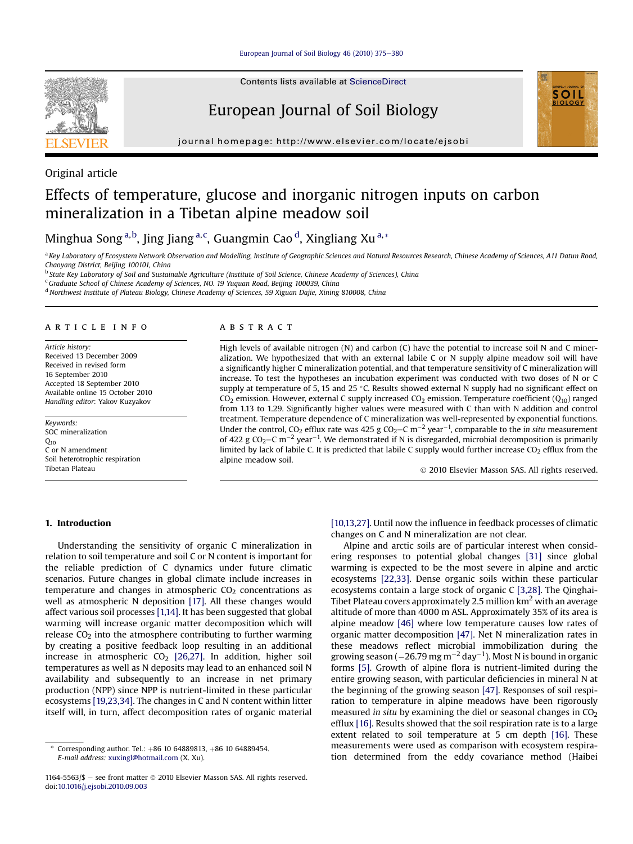

Contents lists available at ScienceDirect

# European Journal of Soil Biology



journal homepage:<http://www.elsevier.com/locate/ejsobi>

## Original article

# Effects of temperature, glucose and inorganic nitrogen inputs on carbon mineralization in a Tibetan alpine meadow soil

Minghua Song <sup>a,b</sup>, Jing Jiang <sup>a,c</sup>, Guangmin Cao <sup>d</sup>, Xingliang Xu <sup>a,\*</sup>

a Key Laboratory of Ecosystem Network Observation and Modelling, Institute of Geographic Sciences and Natural Resources Research, Chinese Academy of Sciences, A11 Datun Road, Chaoyang District, Beijing 100101, China

<sup>b</sup> State Key Laboratory of Soil and Sustainable Agriculture (Institute of Soil Science, Chinese Academy of Sciences), China

<sup>c</sup> Graduate School of Chinese Academy of Sciences, NO. 19 Yuquan Road, Beijing 100039, China

<sup>d</sup> Northwest Institute of Plateau Biology, Chinese Academy of Sciences, 59 Xiguan Dajie, Xining 810008, China

### article info

Article history: Received 13 December 2009 Received in revised form 16 September 2010 Accepted 18 September 2010 Available online 15 October 2010 Handling editor: Yakov Kuzyakov

Keywords: SOC mineralization  $Q_{10}$ C or N amendment Soil heterotrophic respiration Tibetan Plateau

## **ABSTRACT**

High levels of available nitrogen (N) and carbon (C) have the potential to increase soil N and C mineralization. We hypothesized that with an external labile C or N supply alpine meadow soil will have a significantly higher C mineralization potential, and that temperature sensitivity of C mineralization will increase. To test the hypotheses an incubation experiment was conducted with two doses of N or C supply at temperature of 5, 15 and 25  $\degree$ C. Results showed external N supply had no significant effect on CO<sub>2</sub> emission. However, external C supply increased CO<sub>2</sub> emission. Temperature coefficient ( $Q_{10}$ ) ranged from 1.13 to 1.29. Significantly higher values were measured with C than with N addition and control treatment. Temperature dependence of C mineralization was well-represented by exponential functions. Under the control, CO<sub>2</sub> efflux rate was 425 g CO<sub>2</sub>-C m<sup>-2</sup> year<sup>-1</sup>, comparable to the *in situ* measurement of 422 g CO<sub>2</sub>–C m<sup>-2</sup> year<sup>-1</sup>. We demonstrated if N is disregarded, microbial decomposition is primarily limited by lack of labile C. It is predicted that labile C supply would further increase CO<sub>2</sub> efflux from the alpine meadow soil.

2010 Elsevier Masson SAS. All rights reserved.

## 1. Introduction

Understanding the sensitivity of organic C mineralization in relation to soil temperature and soil C or N content is important for the reliable prediction of C dynamics under future climatic scenarios. Future changes in global climate include increases in temperature and changes in atmospheric  $CO<sub>2</sub>$  concentrations as well as atmospheric N deposition [\[17\]](#page-5-0). All these changes would affect various soil processes [\[1,14\].](#page-5-0) It has been suggested that global warming will increase organic matter decomposition which will release  $CO<sub>2</sub>$  into the atmosphere contributing to further warming by creating a positive feedback loop resulting in an additional increase in atmospheric  $CO<sub>2</sub>$  [\[26,27\].](#page-5-0) In addition, higher soil temperatures as well as N deposits may lead to an enhanced soil N availability and subsequently to an increase in net primary production (NPP) since NPP is nutrient-limited in these particular ecosystems [\[19,23,34\]](#page-5-0). The changes in C and N content within litter itself will, in turn, affect decomposition rates of organic material [\[10,13,27\].](#page-5-0) Until now the influence in feedback processes of climatic changes on C and N mineralization are not clear.

Alpine and arctic soils are of particular interest when considering responses to potential global changes [\[31\]](#page-5-0) since global warming is expected to be the most severe in alpine and arctic ecosystems [\[22,33\]](#page-5-0). Dense organic soils within these particular ecosystems contain a large stock of organic C [\[3,28\].](#page-5-0) The Qinghai-Tibet Plateau covers approximately 2.5 million  $km^2$  with an average altitude of more than 4000 m ASL. Approximately 35% of its area is alpine meadow [\[46\]](#page-5-0) where low temperature causes low rates of organic matter decomposition [\[47\]](#page-5-0). Net N mineralization rates in these meadows reflect microbial immobilization during the growing season ( $-26.79$  mg m<sup>-2</sup> day<sup>-1</sup>). Most N is bound in organic forms [\[5\].](#page-5-0) Growth of alpine flora is nutrient-limited during the entire growing season, with particular deficiencies in mineral N at the beginning of the growing season [\[47\].](#page-5-0) Responses of soil respiration to temperature in alpine meadows have been rigorously measured in situ by examining the diel or seasonal changes in  $CO<sub>2</sub>$ efflux [\[16\].](#page-5-0) Results showed that the soil respiration rate is to a large extent related to soil temperature at 5 cm depth [\[16\].](#page-5-0) These measurements were used as comparison with ecosystem respiration determined from the eddy covariance method (Haibei

Corresponding author. Tel.:  $+86$  10 64889813,  $+86$  10 64889454. E-mail address: [xuxingl@hotmail.com](mailto:xuxingl@hotmail.com) (X. Xu).

<sup>1164-5563/\$ -</sup> see front matter © 2010 Elsevier Masson SAS. All rights reserved. doi[:10.1016/j.ejsobi.2010.09.003](http://dx.doi.org/10.1016/j.ejsobi.2010.09.003)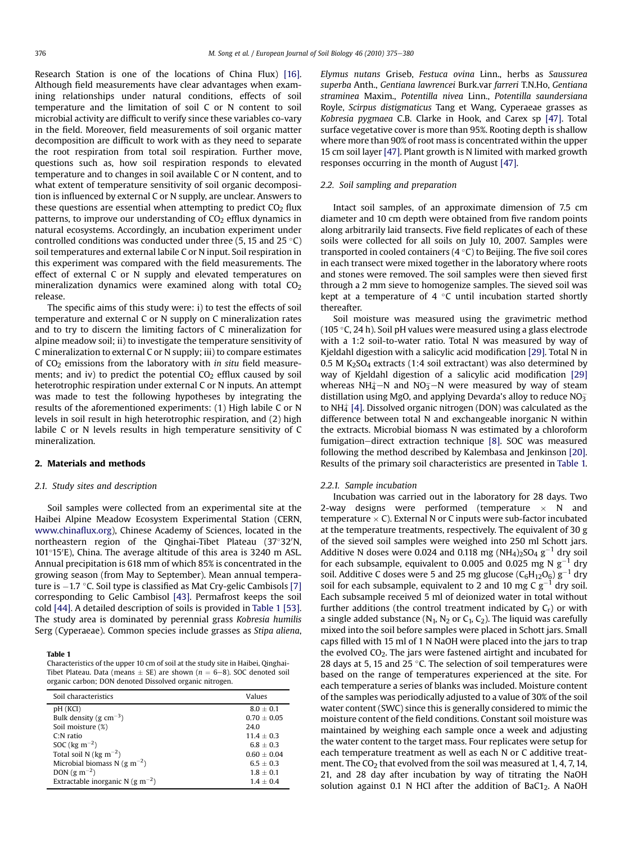Research Station is one of the locations of China Flux) [\[16\].](#page-5-0) Although field measurements have clear advantages when examining relationships under natural conditions, effects of soil temperature and the limitation of soil C or N content to soil microbial activity are difficult to verify since these variables co-vary in the field. Moreover, field measurements of soil organic matter decomposition are difficult to work with as they need to separate the root respiration from total soil respiration. Further move, questions such as, how soil respiration responds to elevated temperature and to changes in soil available C or N content, and to what extent of temperature sensitivity of soil organic decomposition is influenced by external C or N supply, are unclear. Answers to these questions are essential when attempting to predict  $CO<sub>2</sub>$  flux patterns, to improve our understanding of  $CO<sub>2</sub>$  efflux dynamics in natural ecosystems. Accordingly, an incubation experiment under controlled conditions was conducted under three  $(5, 15 \text{ and } 25 \degree \text{C})$ soil temperatures and external labile C or N input. Soil respiration in this experiment was compared with the field measurements. The effect of external C or N supply and elevated temperatures on mineralization dynamics were examined along with total  $CO<sub>2</sub>$ release.

The specific aims of this study were: i) to test the effects of soil temperature and external C or N supply on C mineralization rates and to try to discern the limiting factors of C mineralization for alpine meadow soil; ii) to investigate the temperature sensitivity of C mineralization to external C or N supply; iii) to compare estimates of  $CO<sub>2</sub>$  emissions from the laboratory with in situ field measurements; and iv) to predict the potential  $CO<sub>2</sub>$  efflux caused by soil heterotrophic respiration under external C or N inputs. An attempt was made to test the following hypotheses by integrating the results of the aforementioned experiments: (1) High labile C or N levels in soil result in high heterotrophic respiration, and (2) high labile C or N levels results in high temperature sensitivity of C mineralization.

## 2. Materials and methods

Table 1

#### 2.1. Study sites and description

Soil samples were collected from an experimental site at the Haibei Alpine Meadow Ecosystem Experimental Station (CERN, [www.china](http://www.chinaflux.org)flux.org), Chinese Academy of Sciences, located in the northeastern region of the Qinghai-Tibet Plateau (37°32′N,  $101^{\circ}$ 15'E), China. The average altitude of this area is 3240 m ASL. Annual precipitation is 618 mm of which 85% is concentrated in the growing season (from May to September). Mean annual temperature is  $-1.7$  °C. Soil type is classified as Mat Cry-gelic Cambisols [\[7\]](#page-5-0) corresponding to Gelic Cambisol [\[43\].](#page-5-0) Permafrost keeps the soil cold [\[44\]](#page-5-0). A detailed description of soils is provided in Table 1 [\[53\].](#page-5-0) The study area is dominated by perennial grass Kobresia humilis Serg (Cyperaeae). Common species include grasses as Stipa aliena,

Characteristics of the upper 10 cm of soil at the study site in Haibei, Qinghai-Tibet Plateau. Data (means  $\pm$  SE) are shown (n = 6–8). SOC denoted soil organic carbon; DON denoted Dissolved organic nitrogen.

| Soil characteristics                     | Values        |
|------------------------------------------|---------------|
| pH (KCI)                                 | $8.0 + 0.1$   |
| Bulk density (g $cm^{-3}$ )              | $0.70 + 0.05$ |
| Soil moisture (%)                        | 24.0          |
| $C:$ N ratio                             | $11.4 + 0.3$  |
| SOC ( $\text{kg m}^{-2}$ )               | $6.8 + 0.3$   |
| Total soil N ( $\text{kg m}^{-2}$ )      | $0.60 + 0.04$ |
| Microbial biomass N (g m <sup>-2</sup> ) | $6.5 + 0.3$   |
| DON (g m <sup>-2</sup> )                 | $1.8 + 0.1$   |
| Extractable inorganic N (g $m^{-2}$ )    | $1.4 + 0.4$   |

Elymus nutans Griseb, Festuca ovina Linn., herbs as Saussurea superba Anth., Gentiana lawrencei Burk.var farreri T.N.Ho, Gentiana straminea Maxim., Potentilla nivea Linn., Potentilla saundersiana Royle, Scirpus distigmaticus Tang et Wang, Cyperaeae grasses as Kobresia pygmaea C.B. Clarke in Hook, and Carex sp [\[47\]](#page-5-0). Total surface vegetative cover is more than 95%. Rooting depth is shallow where more than 90% of root mass is concentrated within the upper 15 cm soil layer [\[47\]](#page-5-0). Plant growth is N limited with marked growth responses occurring in the month of August [\[47\]](#page-5-0).

#### 2.2. Soil sampling and preparation

Intact soil samples, of an approximate dimension of 7.5 cm diameter and 10 cm depth were obtained from five random points along arbitrarily laid transects. Five field replicates of each of these soils were collected for all soils on July 10, 2007. Samples were transported in cooled containers  $(4\degree C)$  to Beijing. The five soil cores in each transect were mixed together in the laboratory where roots and stones were removed. The soil samples were then sieved first through a 2 mm sieve to homogenize samples. The sieved soil was kept at a temperature of  $4 \degree C$  until incubation started shortly thereafter.

Soil moisture was measured using the gravimetric method (105 $\degree$ C, 24 h). Soil pH values were measured using a glass electrode with a 1:2 soil-to-water ratio. Total N was measured by way of Kjeldahl digestion with a salicylic acid modification [\[29\].](#page-5-0) Total N in 0.5 M  $K<sub>2</sub>SO<sub>4</sub>$  extracts (1:4 soil extractant) was also determined by way of Kjeldahl digestion of a salicylic acid modification [\[29\]](#page-5-0) whereas NH $_4^+$ –N and NO<sub>3</sub>–N were measured by way of steam distillation using MgO, and applying Devarda's alloy to reduce  $NO_{3}^{-}$ to NH4 þ [\[4\]](#page-5-0). Dissolved organic nitrogen (DON) was calculated as the difference between total N and exchangeable inorganic N within the extracts. Microbial biomass N was estimated by a chloroform fumigation-direct extraction technique [\[8\].](#page-5-0) SOC was measured following the method described by Kalembasa and Jenkinson [\[20\].](#page-5-0) Results of the primary soil characteristics are presented in Table 1.

#### 2.2.1. Sample incubation

Incubation was carried out in the laboratory for 28 days. Two 2-way designs were performed (temperature  $\times$  N and temperature  $\times$  C). External N or C inputs were sub-factor incubated at the temperature treatments, respectively. The equivalent of 30 g of the sieved soil samples were weighed into 250 ml Schott jars. Additive N doses were 0.024 and 0.118 mg (NH<sub>4</sub>)<sub>2</sub>SO<sub>4</sub> g<sup>-1</sup> dry soil for each subsample, equivalent to 0.005 and 0.025 mg N  $g^{-1}$  dry soil. Additive C doses were 5 and 25 mg glucose ( $C_6H_{12}O_6$ )  $g^{-1}$  dry soil for each subsample, equivalent to 2 and 10 mg C  $g^{-1}$  dry soil. Each subsample received 5 ml of deionized water in total without further additions (the control treatment indicated by  $C_r$ ) or with a single added substance  $(N_1, N_2 \text{ or } C_1, C_2)$ . The liquid was carefully mixed into the soil before samples were placed in Schott jars. Small caps filled with 15 ml of 1 N NaOH were placed into the jars to trap the evolved  $CO<sub>2</sub>$ . The jars were fastened airtight and incubated for 28 days at 5, 15 and 25  $\degree$ C. The selection of soil temperatures were based on the range of temperatures experienced at the site. For each temperature a series of blanks was included. Moisture content of the samples was periodically adjusted to a value of 30% of the soil water content (SWC) since this is generally considered to mimic the moisture content of the field conditions. Constant soil moisture was maintained by weighing each sample once a week and adjusting the water content to the target mass. Four replicates were setup for each temperature treatment as well as each N or C additive treatment. The  $CO<sub>2</sub>$  that evolved from the soil was measured at 1, 4, 7, 14, 21, and 28 day after incubation by way of titrating the NaOH solution against 0.1 N HCl after the addition of BaC1 $_2$ . A NaOH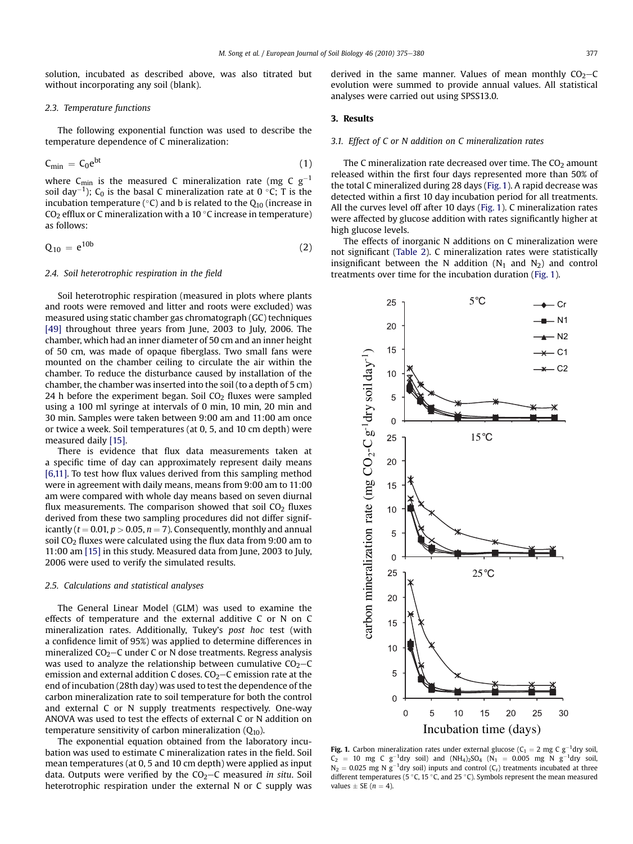solution, incubated as described above, was also titrated but without incorporating any soil (blank).

#### 2.3. Temperature functions

The following exponential function was used to describe the temperature dependence of C mineralization:

$$
C_{\min} = C_0 e^{bt} \tag{1}
$$

where C<sub>min</sub> is the measured C mineralization rate (mg C  $g^{-1}$ soil day $^{-1}$ ); C<sub>0</sub> is the basal C mineralization rate at 0 °C; T is the incubation temperature ( $\degree$ C) and b is related to the Q<sub>10</sub> (increase in  $CO<sub>2</sub>$  efflux or C mineralization with a 10 °C increase in temperature) as follows:

$$
\mathbf{Q}_{10} = \mathbf{e}^{10b} \tag{2}
$$

## 2.4. Soil heterotrophic respiration in the field

Soil heterotrophic respiration (measured in plots where plants and roots were removed and litter and roots were excluded) was measured using static chamber gas chromatograph (GC) techniques [\[49\]](#page-5-0) throughout three years from June, 2003 to July, 2006. The chamber, which had an inner diameter of 50 cm and an inner height of 50 cm, was made of opaque fiberglass. Two small fans were mounted on the chamber ceiling to circulate the air within the chamber. To reduce the disturbance caused by installation of the chamber, the chamber was inserted into the soil (to a depth of 5 cm) 24 h before the experiment began. Soil  $CO<sub>2</sub>$  fluxes were sampled using a 100 ml syringe at intervals of 0 min, 10 min, 20 min and 30 min. Samples were taken between 9:00 am and 11:00 am once or twice a week. Soil temperatures (at 0, 5, and 10 cm depth) were measured daily [\[15\].](#page-5-0)

There is evidence that flux data measurements taken at a specific time of day can approximately represent daily means [\[6,11\]](#page-5-0). To test how flux values derived from this sampling method were in agreement with daily means, means from 9:00 am to 11:00 am were compared with whole day means based on seven diurnal flux measurements. The comparison showed that soil  $CO<sub>2</sub>$  fluxes derived from these two sampling procedures did not differ significantly ( $t = 0.01$ ,  $p > 0.05$ ,  $n = 7$ ). Consequently, monthly and annual soil  $CO<sub>2</sub>$  fluxes were calculated using the flux data from 9:00 am to 11:00 am [\[15\]](#page-5-0) in this study. Measured data from June, 2003 to July, 2006 were used to verify the simulated results.

#### 2.5. Calculations and statistical analyses

The General Linear Model (GLM) was used to examine the effects of temperature and the external additive C or N on C mineralization rates. Additionally, Tukey's post hoc test (with a confidence limit of 95%) was applied to determine differences in mineralized  $CO<sub>2</sub>-C$  under C or N dose treatments. Regress analysis was used to analyze the relationship between cumulative  $CO<sub>2</sub>-C$ emission and external addition C doses.  $CO<sub>2</sub>-C$  emission rate at the end of incubation (28th day) was used to test the dependence of the carbon mineralization rate to soil temperature for both the control and external C or N supply treatments respectively. One-way ANOVA was used to test the effects of external C or N addition on temperature sensitivity of carbon mineralization  $(Q_{10})$ .

The exponential equation obtained from the laboratory incubation was used to estimate C mineralization rates in the field. Soil mean temperatures (at 0, 5 and 10 cm depth) were applied as input data. Outputs were verified by the  $CO<sub>2</sub>-C$  measured in situ. Soil heterotrophic respiration under the external N or C supply was derived in the same manner. Values of mean monthly  $CO<sub>2</sub>-C$ evolution were summed to provide annual values. All statistical analyses were carried out using SPSS13.0.

## 3. Results

#### 3.1. Effect of C or N addition on C mineralization rates

The C mineralization rate decreased over time. The  $CO<sub>2</sub>$  amount released within the first four days represented more than 50% of the total C mineralized during 28 days (Fig. 1). A rapid decrease was detected within a first 10 day incubation period for all treatments. All the curves level off after 10 days (Fig. 1). C mineralization rates were affected by glucose addition with rates significantly higher at high glucose levels.

The effects of inorganic N additions on C mineralization were not significant [\(Table 2\)](#page-3-0). C mineralization rates were statistically insignificant between the N addition  $(N_1$  and  $N_2)$  and control treatments over time for the incubation duration (Fig. 1).



**Fig. 1.** Carbon mineralization rates under external glucose ( $C_1 = 2$  mg C  $g^{-1}$ dry soil,  $C_2 = 10$  mg C  $g^{-1}$ dry soil) and  $(NH_4)_2$ SO<sub>4</sub>  $(N_1 = 0.005$  mg N  $g^{-1}$ dry soil  $N_2 = 0.025$  mg N g<sup>-1</sup>dry soil) inputs and control (C<sub>r</sub>) treatments incubated at three different temperatures (5 °C, 15 °C, and 25 °C). Symbols represent the mean measured values  $\pm$  SE ( $n = 4$ ).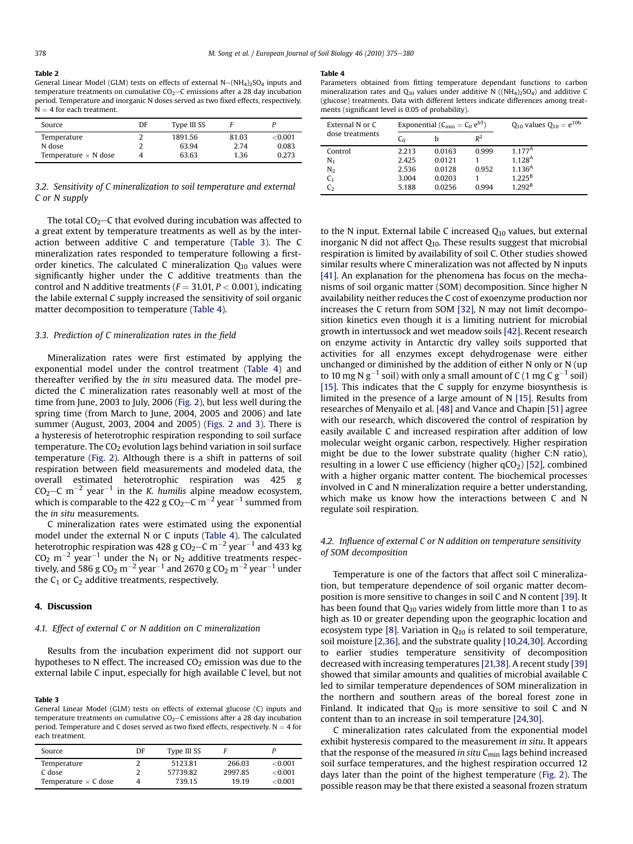#### <span id="page-3-0"></span>Table 2

General Linear Model (GLM) tests on effects of external  $N-(NH_4)_2SO_4$  inputs and temperature treatments on cumulative  $CO<sub>2</sub>-C$  emissions after a 28 day incubation period. Temperature and inorganic N doses served as two fixed effects, respectively.  $N = 4$  for each treatment.

| Source                      | DF | Type III SS |       |         |
|-----------------------------|----|-------------|-------|---------|
| Temperature                 |    | 1891.56     | 81.03 | < 0.001 |
| N dose                      |    | 63.94       | 2.74  | 0.083   |
| Temperature $\times$ N dose | 4  | 63.63       | 1.36  | 0.273   |

#### 3.2. Sensitivity of C mineralization to soil temperature and external C or N supply

The total  $CO<sub>2</sub>-C$  that evolved during incubation was affected to a great extent by temperature treatments as well as by the interaction between additive C and temperature (Table 3). The C mineralization rates responded to temperature following a firstorder kinetics. The calculated C mineralization  $Q_{10}$  values were significantly higher under the C additive treatments than the control and N additive treatments ( $F = 31.01$ ,  $P < 0.001$ ), indicating the labile external C supply increased the sensitivity of soil organic matter decomposition to temperature (Table 4).

### 3.3. Prediction of C mineralization rates in the field

Mineralization rates were first estimated by applying the exponential model under the control treatment (Table 4) and thereafter verified by the in situ measured data. The model predicted the C mineralization rates reasonably well at most of the time from June, 2003 to July, 2006 ([Fig. 2\)](#page-4-0), but less well during the spring time (from March to June, 2004, 2005 and 2006) and late summer (August, 2003, 2004 and 2005) ([Figs. 2 and 3\)](#page-4-0). There is a hysteresis of heterotrophic respiration responding to soil surface temperature. The  $CO<sub>2</sub>$  evolution lags behind variation in soil surface temperature [\(Fig. 2](#page-4-0)). Although there is a shift in patterns of soil respiration between field measurements and modeled data, the overall estimated heterotrophic respiration was 425 g CO<sub>2</sub>-C m<sup>-2</sup> year<sup>-1</sup> in the *K*. humilis alpine meadow ecosystem, which is comparable to the 422 g  $CO<sub>2</sub>-C$  m<sup>-2</sup> year<sup>-1</sup> summed from the in situ measurements.

C mineralization rates were estimated using the exponential model under the external N or C inputs (Table 4). The calculated heterotrophic respiration was 428 g  $CO<sub>2</sub>-C$  m<sup>-2</sup> year<sup>-1</sup> and 433 kg  $CO<sub>2</sub>$  m<sup>-2</sup> year<sup>-1</sup> under the N<sub>1</sub> or N<sub>2</sub> additive treatments respectively, and 586 g  $CO_2$  m<sup>-2</sup> year<sup>-1</sup> and 2670 g  $CO_2$  m<sup>-2</sup> year<sup>-1</sup> under the  $C_1$  or  $C_2$  additive treatments, respectively.

#### 4. Discussion

#### 4.1. Effect of external C or N addition on C mineralization

Results from the incubation experiment did not support our hypotheses to N effect. The increased  $CO<sub>2</sub>$  emission was due to the external labile C input, especially for high available C level, but not

#### Table 3

General Linear Model (GLM) tests on effects of external glucose (C) inputs and temperature treatments on cumulative  $CO<sub>2</sub>-C$  emissions after a 28 day incubation period. Temperature and C doses served as two fixed effects, respectively.  $N = 4$  for each treatment.

| Source                      | DF | Type III SS |         |         |
|-----------------------------|----|-------------|---------|---------|
| Temperature                 |    | 5123.81     | 266.03  | < 0.001 |
| C dose                      |    | 57739.82    | 2997.85 | <0.001  |
| Temperature $\times$ C dose |    | 739.15      | 1919    | <0.001  |

#### Table 4

Parameters obtained from fitting temperature dependant functions to carbon mineralization rates and  $Q_{10}$  values under additive N ((NH<sub>4</sub>)<sub>2</sub>SO<sub>4</sub>) and additive C (glucose) treatments. Data with different letters indicate differences among treatments (significant level is 0.05 of probability).

| External $N$ or $C$ |       | Exponential ( $C_{\text{min}} = C_0 e^{bT}$ ) | $Q_{10}$ values $Q_{10} = e^{10b}$ |                    |
|---------------------|-------|-----------------------------------------------|------------------------------------|--------------------|
| dose treatments     | C٥    | b                                             | $R^2$                              |                    |
| Control             | 2.213 | 0.0163                                        | 0.999                              | $1.177^A$          |
| $N_1$               | 2.425 | 0.0121                                        |                                    | $1.128^{A}$        |
| N <sub>2</sub>      | 2.536 | 0.0128                                        | 0.952                              | 1.136 <sup>A</sup> |
| C <sub>1</sub>      | 3.004 | 0.0203                                        |                                    | $1.225^{\rm B}$    |
| C,                  | 5.188 | 0.0256                                        | 0.994                              | $1292^B$           |

to the N input. External labile C increased  $Q_{10}$  values, but external inorganic N did not affect  $Q_{10}$ . These results suggest that microbial respiration is limited by availability of soil C. Other studies showed similar results where C mineralization was not affected by N inputs [\[41\].](#page-5-0) An explanation for the phenomena has focus on the mechanisms of soil organic matter (SOM) decomposition. Since higher N availability neither reduces the C cost of exoenzyme production nor increases the C return from SOM [\[32\],](#page-5-0) N may not limit decomposition kinetics even though it is a limiting nutrient for microbial growth in intertussock and wet meadow soils [\[42\].](#page-5-0) Recent research on enzyme activity in Antarctic dry valley soils supported that activities for all enzymes except dehydrogenase were either unchanged or diminished by the addition of either N only or N (up to 10 mg N  $g^{-1}$  soil) with only a small amount of C (1 mg C  $g^{-1}$  soil) [\[15\].](#page-5-0) This indicates that the C supply for enzyme biosynthesis is limited in the presence of a large amount of N [\[15\].](#page-5-0) Results from researches of Menyailo et al. [\[48\]](#page-5-0) and Vance and Chapin [\[51\]](#page-5-0) agree with our research, which discovered the control of respiration by easily available C and increased respiration after addition of low molecular weight organic carbon, respectively. Higher respiration might be due to the lower substrate quality (higher C:N ratio), resulting in a lower C use efficiency (higher  $qCO<sub>2</sub>$ ) [\[52\],](#page-5-0) combined with a higher organic matter content. The biochemical processes involved in C and N mineralization require a better understanding, which make us know how the interactions between C and N regulate soil respiration.

## 4.2. Influence of external C or N addition on temperature sensitivity of SOM decomposition

Temperature is one of the factors that affect soil C mineralization, but temperature dependence of soil organic matter decomposition is more sensitive to changes in soil C and N content [\[39\]](#page-5-0). It has been found that  $Q_{10}$  varies widely from little more than 1 to as high as 10 or greater depending upon the geographic location and ecosystem type  $[8]$ . Variation in  $Q_{10}$  is related to soil temperature, soil moisture [\[2,36\],](#page-5-0) and the substrate quality [\[10,24,30\]](#page-5-0). According to earlier studies temperature sensitivity of decomposition decreased with increasing temperatures [\[21,38\].](#page-5-0) A recent study [\[39\]](#page-5-0) showed that similar amounts and qualities of microbial available C led to similar temperature dependences of SOM mineralization in the northern and southern areas of the boreal forest zone in Finland. It indicated that  $Q_{10}$  is more sensitive to soil C and N content than to an increase in soil temperature [\[24,30\].](#page-5-0)

C mineralization rates calculated from the exponential model exhibit hysteresis compared to the measurement in situ. It appears that the response of the measured in situ  $C_{\text{min}}$  lags behind increased soil surface temperatures, and the highest respiration occurred 12 days later than the point of the highest temperature [\(Fig. 2](#page-4-0)). The possible reason may be that there existed a seasonal frozen stratum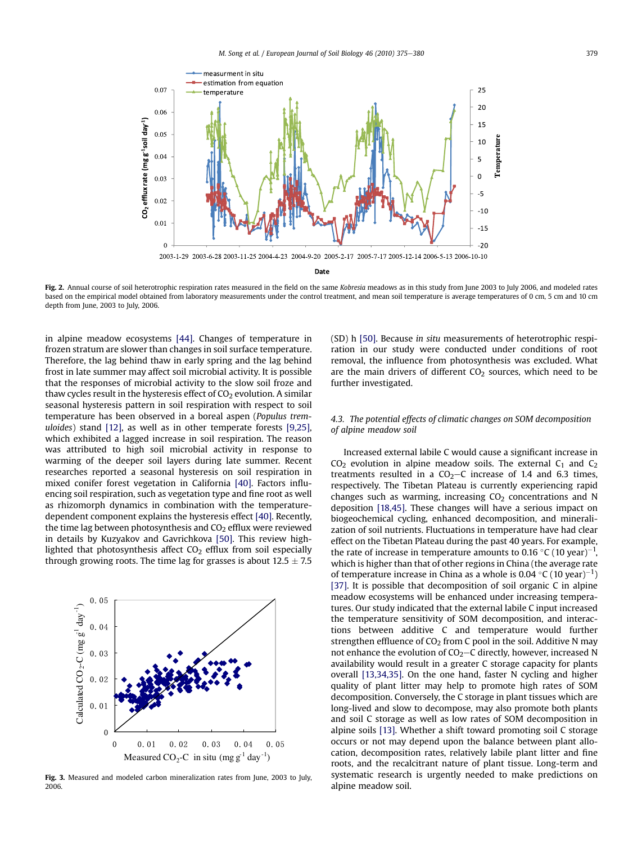<span id="page-4-0"></span>

Fig. 2. Annual course of soil heterotrophic respiration rates measured in the field on the same Kobresia meadows as in this study from June 2003 to July 2006, and modeled rates based on the empirical model obtained from laboratory measurements under the control treatment, and mean soil temperature is average temperatures of 0 cm, 5 cm and 10 cm depth from June, 2003 to July, 2006.

in alpine meadow ecosystems [\[44\]](#page-5-0). Changes of temperature in frozen stratum are slower than changes in soil surface temperature. Therefore, the lag behind thaw in early spring and the lag behind frost in late summer may affect soil microbial activity. It is possible that the responses of microbial activity to the slow soil froze and thaw cycles result in the hysteresis effect of  $CO<sub>2</sub>$  evolution. A similar seasonal hysteresis pattern in soil respiration with respect to soil temperature has been observed in a boreal aspen (Populus tremuloides) stand [\[12\]](#page-5-0), as well as in other temperate forests [\[9,25\],](#page-5-0) which exhibited a lagged increase in soil respiration. The reason was attributed to high soil microbial activity in response to warming of the deeper soil layers during late summer. Recent researches reported a seasonal hysteresis on soil respiration in mixed conifer forest vegetation in California [\[40\]](#page-5-0). Factors influencing soil respiration, such as vegetation type and fine root as well as rhizomorph dynamics in combination with the temperaturedependent component explains the hysteresis effect [\[40\].](#page-5-0) Recently, the time lag between photosynthesis and  $CO<sub>2</sub>$  efflux were reviewed in details by Kuzyakov and Gavrichkova [\[50\].](#page-5-0) This review highlighted that photosynthesis affect  $CO<sub>2</sub>$  efflux from soil especially through growing roots. The time lag for grasses is about  $12.5 \pm 7.5$ 



Fig. 3. Measured and modeled carbon mineralization rates from June, 2003 to July, 2006.

(SD) h [\[50\].](#page-5-0) Because in situ measurements of heterotrophic respiration in our study were conducted under conditions of root removal, the influence from photosynthesis was excluded. What are the main drivers of different  $CO<sub>2</sub>$  sources, which need to be further investigated.

## 4.3. The potential effects of climatic changes on SOM decomposition of alpine meadow soil

Increased external labile C would cause a significant increase in  $CO<sub>2</sub>$  evolution in alpine meadow soils. The external  $C<sub>1</sub>$  and  $C<sub>2</sub>$ treatments resulted in a  $CO<sub>2</sub>-C$  increase of 1.4 and 6.3 times, respectively. The Tibetan Plateau is currently experiencing rapid changes such as warming, increasing  $CO<sub>2</sub>$  concentrations and N deposition [\[18,45\]](#page-5-0). These changes will have a serious impact on biogeochemical cycling, enhanced decomposition, and mineralization of soil nutrients. Fluctuations in temperature have had clear effect on the Tibetan Plateau during the past 40 years. For example, the rate of increase in temperature amounts to 0.16 °C (10 year)<sup>-1</sup>, which is higher than that of other regions in China (the average rate of temperature increase in China as a whole is 0.04  $\mathrm{C}$  (10 year)<sup>-1</sup>) [\[37\].](#page-5-0) It is possible that decomposition of soil organic C in alpine meadow ecosystems will be enhanced under increasing temperatures. Our study indicated that the external labile C input increased the temperature sensitivity of SOM decomposition, and interactions between additive C and temperature would further strengthen effluence of  $CO<sub>2</sub>$  from C pool in the soil. Additive N may not enhance the evolution of  $CO<sub>2</sub>-C$  directly, however, increased N availability would result in a greater C storage capacity for plants overall [\[13,34,35\]](#page-5-0). On the one hand, faster N cycling and higher quality of plant litter may help to promote high rates of SOM decomposition. Conversely, the C storage in plant tissues which are long-lived and slow to decompose, may also promote both plants and soil C storage as well as low rates of SOM decomposition in alpine soils [\[13\].](#page-5-0) Whether a shift toward promoting soil C storage occurs or not may depend upon the balance between plant allocation, decomposition rates, relatively labile plant litter and fine roots, and the recalcitrant nature of plant tissue. Long-term and systematic research is urgently needed to make predictions on alpine meadow soil.